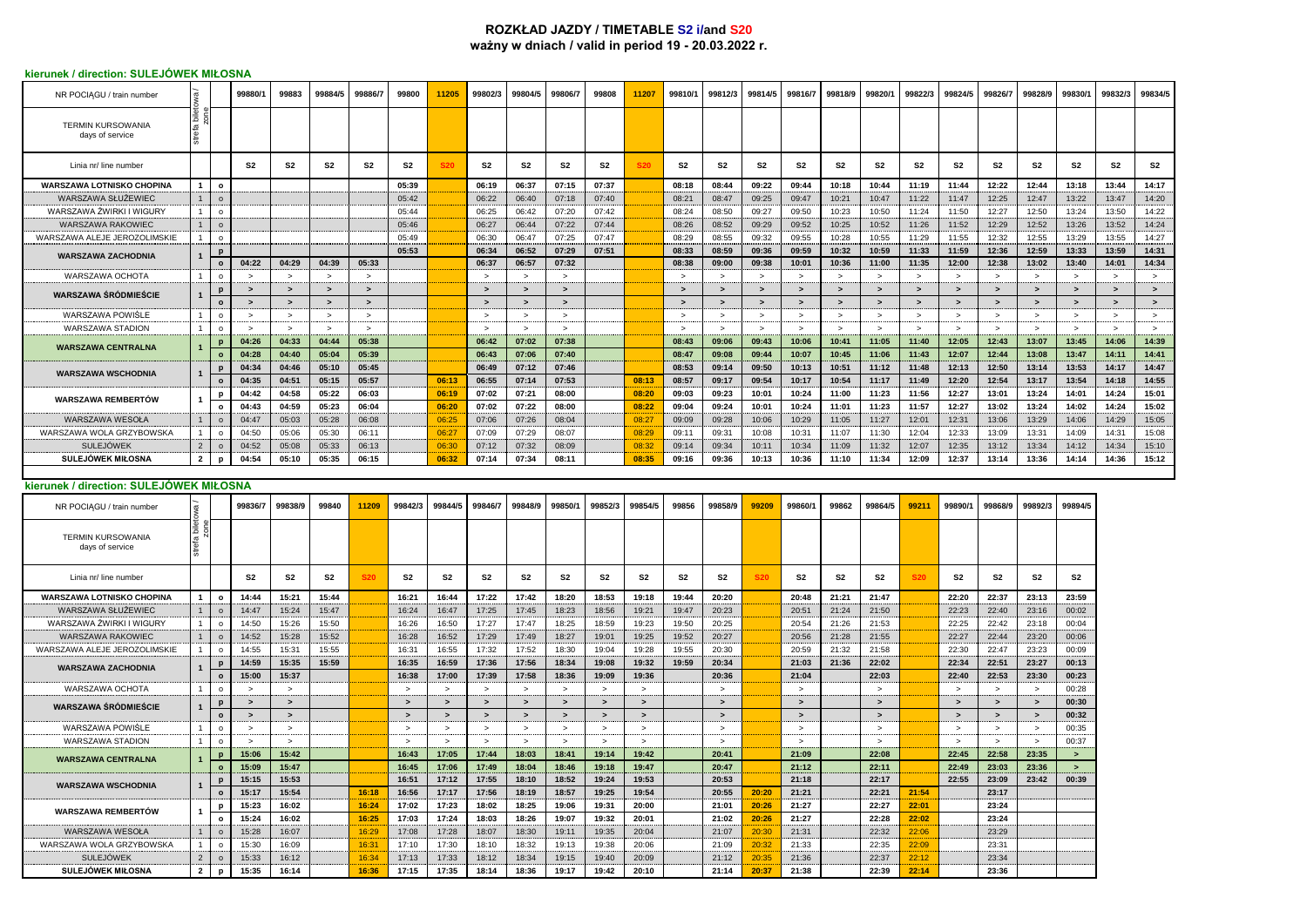## **ROZKŁAD JAZDY / TIMETABLE S2 i/and S20 ważny w dniach / valid in period 19 - 20.03.2022 r.**

## **kierunek / direction: SULEJÓWEK MIŁOSNA**

| NR POCIAGU / train number                    |                                                   | 99880/1                            | 99883                    | 99884/5        | 99886/7        | 99800                 | 11205                              | 99802/3         | 99804/5                           | 99806/7                | 99808                          | 11207           | 99810/1        | 99812/3                        | 99814/5        | 99816/7                  | 99818/9        | 99820/1                 | 99822/3                  | 99824/5                        | 99826/7                | 99828/9                        | 99830/1        | 99832/3        | 99834/5        |
|----------------------------------------------|---------------------------------------------------|------------------------------------|--------------------------|----------------|----------------|-----------------------|------------------------------------|-----------------|-----------------------------------|------------------------|--------------------------------|-----------------|----------------|--------------------------------|----------------|--------------------------|----------------|-------------------------|--------------------------|--------------------------------|------------------------|--------------------------------|----------------|----------------|----------------|
| <b>TERMIN KURSOWANIA</b><br>days of service  |                                                   |                                    |                          |                |                |                       |                                    |                 |                                   |                        |                                |                 |                |                                |                |                          |                |                         |                          |                                |                        |                                |                |                |                |
| Linia nr/ line number                        |                                                   | S <sub>2</sub>                     | S2                       | S <sub>2</sub> | S <sub>2</sub> | S <sub>2</sub>        |                                    | S <sub>2</sub>  | S2                                | S <sub>2</sub>         | S <sub>2</sub>                 | <b>S20</b>      | S2             | S2                             | S <sub>2</sub> | S <sub>2</sub>           | S <sub>2</sub> | S2                      | S2                       | S2                             | S <sub>2</sub>         | S2                             | S2             | S2             | S2             |
| <b>WARSZAWA LOTNISKO CHOPINA</b>             | $\mathbf{1}$<br>$\circ$                           |                                    |                          |                |                | 05:39                 |                                    | 06:19           | 06:37                             | 07:15                  | 07:37                          |                 | 08:18          | 08:44                          | 09:22          | 09:44                    | 10:18          | 10:44                   | 11:19                    | 11:44                          | 12:22                  | 12:44                          | 13:18          | 13:44          | 14:17          |
| WARSZAWA SŁUŻEWIEC                           | $\mathbf{1}$<br>$\circ$                           |                                    |                          |                |                | 05:42                 |                                    | 06:22           | 06:40                             | 07:18                  | 07:40                          |                 | 08:21          | 08:47                          | 09:25          | 09:47                    | 10:21          | 10:47                   | 11:22                    | 11:47                          | 12:25                  | 12:47                          | 13:22          | 13:47          | 14:20          |
| WARSZAWA ŻWIRKI I WIGURY                     | $\mathbf{1}$<br>$\Omega$                          |                                    |                          |                |                | 05:44                 |                                    | 06:25           | 06:42                             | 07:20                  | 07:42                          |                 | 08:24          | 08:50                          | 09:27          | 09:50                    | 10:23          | 10:50                   | 11:24                    | 11:50                          | 12:27                  | 12:50                          | 13:24          | 13:50          | 14:22          |
| WARSZAWA RAKOWIEC                            | $\mathbf{1}$<br>$\circ$                           |                                    |                          |                |                | 05:46                 |                                    | 06:27           | 06:44                             | 07:22                  | 07:44                          |                 | 08:26          | 08:52                          | 09:29          | 09:52                    | 10:25          | 10:52                   | 11:26                    | 11:52                          | 12:29                  | 12:52                          | 13:26          | 13:52          | 14:24          |
| WARSZAWA ALEJE JEROZOLIMSKIE                 | $\mathbf{1}$<br>$\circ$                           |                                    |                          |                |                | 05:49                 |                                    | 06:30           | 06:47                             | 07:25                  | 07:47                          |                 | 08:29          | 08:55                          | 09:32          | 09:55                    | 10:28          | 10:55                   | 11:29                    | 11:55                          | 12:32                  | 12:55                          | 13:29          | 13:55          | 14:27          |
| <b>WARSZAWA ZACHODNIA</b>                    | $\mathbf{p}$<br>$\mathbf{1}$<br>$\circ$           |                                    | 04:29                    | 04:39          | 05:33          | 05:53                 |                                    | 06:34<br>06:37  | 06:52<br>06:57                    | 07:29<br>07:32         | 07:51                          |                 | 08:33<br>08:38 | 08:59<br>09:00                 | 09:36<br>09:38 | 09:59<br>10:01           | 10:32<br>10:36 | 10:59<br>11:00          | 11:33<br>11:35           | 11:59<br>12:00                 | 12:36<br>12:38         | 12:59<br>13:02                 | 13:33<br>13:40 | 13:59<br>14:01 | 14:31<br>14:34 |
| WARSZAWA OCHOTA                              | $\mathbf{1}$<br>$\circ$                           | 04:22                              |                          |                |                |                       |                                    |                 |                                   | $\geq$                 |                                |                 |                |                                |                |                          |                |                         |                          |                                |                        |                                |                |                | $\rightarrow$  |
|                                              | p                                                 | $\overline{\phantom{0}}$           | $\rightarrow$            | $\,>\,$        | $\rightarrow$  |                       |                                    | $\rightarrow$   | $\rightarrow$                     | $\rightarrow$          |                                |                 | $\,$           | $\rightarrow$                  | $\rightarrow$  | $\rightarrow$            | $\rightarrow$  | $\,>\,$                 | $\rightarrow$            | $\rightarrow$                  | $\rightarrow$          | $\,>\,$                        | $\,>\,$        | $\,>\,$        | $\rightarrow$  |
| WARSZAWA ŚRÓDMIEŚCIE                         | $\mathbf{1}$<br>$\Omega$                          |                                    | $\overline{\phantom{0}}$ | $\overline{ }$ | $\rightarrow$  |                       |                                    | $\rightarrow$   | $\rightarrow$                     | $\rightarrow$          |                                |                 |                |                                | $\rightarrow$  | $\rightarrow$            | $\,$           | $\rightarrow$           | $\rightarrow$            | $\rightarrow$                  | $\rightarrow$          | $\rightarrow$                  | $\rightarrow$  |                | $\,$           |
| WARSZAWA POWIŚLE                             | $\overline{1}$<br>$\circ$                         | $\geq$                             | $\geq$                   | $\geq$         | $\geq$         |                       |                                    | $\geq$          | $\geq$                            | $\geq$                 |                                |                 | $\rightarrow$  | $\geq$                         | $\geq$         | $\geq$                   | $\geq$         | $\geq$                  | $\, > \,$                | $\geq$                         | $\geq$                 | $\rightarrow$                  | $\geq$         | $\geq$         | $\, >$         |
| WARSZAWA STADION                             | $\mathbf{1}$<br>$\Omega$                          | $\geq$                             | $\overline{\phantom{a}}$ |                | $\rightarrow$  |                       |                                    | $\geq$          | $\overline{\phantom{a}}$          | $\rightarrow$          |                                |                 | $\geq$         | $\rightarrow$                  | -              | $\rightarrow$            | $\geq$         | $\rightarrow$           | $\overline{\phantom{0}}$ | $\overline{\phantom{a}}$       | $\rightarrow$          | $\overline{\phantom{a}}$       | $\rightarrow$  | $\geq$         | $\rightarrow$  |
|                                              |                                                   | 04:26                              | 04:33                    | 04:44          | 05:38          |                       |                                    | 06:42           | 07:02                             | 07:38                  |                                |                 | 08:43          | 09:06                          | 09:43          | 10:06                    | 10:41          | 11:05                   | 11:40                    | 12:05                          | 12:43                  | 13:07                          | 13:45          | 14:06          | 14:39          |
| <b>WARSZAWA CENTRALNA</b>                    | $\overline{1}$<br>$\Omega$                        | 04:28                              | 04:40                    | 05:04          | 05:39          |                       |                                    | 06:43           | 07:06                             | 07:40                  |                                |                 | 08:47          | 09:08                          | 09:44          | 10:07                    | 10:45          | 11:06                   | 11:43                    | 12:07                          | 12:44                  | 13:08                          | 13:47          | 14:11          | 14:41          |
| <b>WARSZAWA WSCHODNIA</b>                    | $\overline{1}$                                    | 04:34                              | 04:46                    | 05:10          | 05:45          |                       |                                    | 06:49           | 07:12                             | 07:46                  |                                |                 | 08:53          | 09:14                          | 09:50          | 10:13                    | 10:51          | 11:12                   | 11:48                    | 12:13                          | 12:50                  | 13:14                          | 13:53          | 14:17          | 14:47          |
|                                              | $\circ$                                           | 04:35                              | 04:51                    | 05:15          | 05:57          |                       | 06:13                              | 06:55           | 07:14                             | 07:53                  |                                | 08:13           | 08:57          | 09:17                          | 09:54          | 10:17                    | 10:54          | 11:17                   | 11:49                    | 12:20                          | 12:54                  | 13:17                          | 13:54          | 14:18          | 14:55          |
| <b>WARSZAWA REMBERTÓW</b>                    | p<br>$\mathbf{1}$                                 | 04:42                              | 04:58                    | 05:22          | 06:03          |                       | 06:19                              | 07:02           | 07:21                             | 08:00                  |                                | 08:20           | 09:03          | 09:23                          | 10:01          | 10:24                    | 11:00          | 11:23                   | 11:56                    | 12:27                          | 13:01                  | 13:24                          | 14:01          | 14:24          | 15:01          |
|                                              | $\Omega$                                          | 04:43                              | 04:59                    | 05:23          | 06:04          |                       | 06:20                              | 07:02           | 07:22                             | 08:00                  |                                | 08:22           | 09:04          | 09:24                          | 10:01          | 10:24                    | 11:01          | 11:23                   | 11:57                    | 12:27                          | 13:02                  | 13:24                          | 14:02          | 14:24          | 15:02          |
| WARSZAWA WESOŁA                              | $\mathbf{1}$                                      | 04:47                              | 05:03                    | 05:28          | 06:08          |                       | 06:25                              | 07:06           | 07:26                             | 08:04                  |                                | 08:27           | 09:09          | 09:28                          | 10:06          | 10:29                    | 11:05          | 11:27                   | 12:01                    | 12:31                          | 13:06                  | 13:29                          | 14:06          | 14:29          | 15:05          |
| WARSZAWA WOLA GRZYBOWSKA                     | $\mathbf{1}$<br>$\circ$                           | 04:50                              | 05:06                    | 05:30          | 06:11          |                       | 06:27                              | 07:09           | 07:29                             | 08:07                  |                                | 08:29           | 09:11          | 09:31                          | 10:08          | 10:31                    | 11:07          | 11:30                   | 12:04                    | 12:33                          | 13:09                  | 13:31                          | 14:09          | 14:31          | 15:08          |
| <b>SULEJÓWEK</b>                             | $\overline{2}$<br>$\circ$                         | 04:52                              | 05:08                    | 05:33          | 06:13          |                       | 06:30                              | 07:12           | 07:32                             | 08:09                  |                                | 08:32           | 09:14          | 09:34                          | 10:11          | 10:34                    | 11:09          | 11:32                   | 12:07                    | 12:35                          | 13:12                  | 13:34                          | 14:12          | 14:34          | 15:10          |
| SULEJÓWEK MIŁOSNA                            | $\mathbf{2}$<br>D                                 | 04:54                              | 05:10                    | 05:35          | 06:15          |                       | 06:32                              | 07:14           | 07:34                             | 08:11                  |                                | 08:35           | 09:16          | 09:36                          | 10:13          | 10:36                    | 11:10          | 11:34                   | 12:09                    | 12:37                          | 13:14                  | 13:36                          | 14:14          | 14:36          | 15:12          |
|                                              |                                                   |                                    |                          |                |                |                       |                                    |                 |                                   |                        |                                |                 |                |                                |                |                          |                |                         |                          |                                |                        |                                |                |                |                |
|                                              |                                                   |                                    |                          |                |                |                       |                                    |                 |                                   |                        |                                |                 |                |                                |                |                          |                |                         |                          |                                |                        |                                |                |                |                |
| kierunek / direction: SULEJÓWEK MIŁOSNA      |                                                   |                                    |                          |                |                |                       |                                    |                 |                                   |                        |                                |                 |                |                                |                |                          |                |                         |                          |                                |                        |                                |                |                |                |
| NR POCIAGU / train number                    |                                                   | 99836/7                            | 99838/9                  | 99840          | 11209          | 99842/3               | 99844/5                            | 99846/7         | 99848/9                           | 99850/1                | 99852/3                        | 99854/5         | 99856          | 99858/9                        | 99209          | 99860/1                  | 99862          | 99864/5                 | 99211                    | 99890/1                        | 99868/9                | 99892/3                        | 99894/5        |                |                |
| <b>TERMIN KURSOWANIA</b><br>days of service  | e.<br>G                                           |                                    |                          |                |                |                       |                                    |                 |                                   |                        |                                |                 |                |                                |                |                          |                |                         |                          |                                |                        |                                |                |                |                |
| Linia nr/ line number                        |                                                   | S2                                 | S2                       | S2             | S20            | S <sub>2</sub>        | S <sub>2</sub>                     | S <sub>2</sub>  | S <sub>2</sub>                    | S2                     | S2                             | S2              | S2             | S2                             |                | S2                       | S <sub>2</sub> | S2                      | <b>S20</b>               | S2                             | S2                     | S2                             | S2             |                |                |
| <b>WARSZAWA LOTNISKO CHOPINA</b>             | $\mathbf{1}$<br>$\circ$                           | 14:44                              | 15:21                    | 15:44          |                | 16:21                 | 16:44                              | 17:22           | 17:42                             | 18:20                  | 18:53                          | 19:18           | 19:44          | 20:20                          |                | 20:48                    | 21:21          | 21:47                   |                          | 22:20                          | 22:37                  | 23:13                          | 23:59          |                |                |
| WARSZAWA SŁUŻEWIEC                           | $\mathbf{1}$<br>$\circ$                           | 14:47                              | 15:24                    | 15:47          |                | 16:24                 | 16:47                              | 17:25           | 17:45                             | 18:23                  | 18:56                          | 19:21           | 19:47          | 20:23                          |                | 20:51                    | 21:24          | 21:50                   |                          | 22:23                          | 22:40                  | 23:16                          | 00:02          |                |                |
| WARSZAWA ŻWIRKI I WIGURY                     | $\mathbf{1}$<br>$\circ$                           | 14:50                              | 15:26                    | 15:50          |                | 16:26                 | 16:50                              | 17:27           | 17:47                             | 18:25                  | 18:59                          | 19:23           | 19:50          | 20:25                          |                | 20:54                    | 21:26          | 21:53                   |                          | 22:25                          | 22:42                  | 23:18                          | 00:04          |                |                |
| WARSZAWA RAKOWIEC                            | $\mathbf{1}$<br>$\circ$                           | 14:52                              | 15:28                    | 15:52          |                | 16:28                 | 16:52                              | 17:29           | 17:49                             | 18:27                  | 19:01                          | 19:25           | 19:52          | 20:27                          |                | 20:56                    | 21:28          | 21:55                   |                          | 22:27                          | 22:44                  | 23:20                          | 00:06          |                |                |
| WARSZAWA ALEJE JEROZOLIMSKIE                 | $\mathbf{1}$<br>$\circ$                           | 14:55                              | 15:31                    | 15:55          |                | 16:31                 | 16:55                              | 17:32           | 17:52                             | 18:30                  | 19:04                          | 19:28           | 19:55          | 20:30                          |                | 20:59                    | 21:32          | 21:58                   |                          | 22:30                          | 22:47                  | 23:23                          | 00:09          |                |                |
| <b>WARSZAWA ZACHODNIA</b>                    | $\mathbf{1}$                                      | 14:59                              | 15:35                    | 15:59          |                | 16:35                 | 16:59                              | 17:36           | 17:56                             | 18:34                  | 19:08                          | 19:32           | 19:59          | 20:34                          |                | 21:03                    | 21:36          | 22:02                   |                          | 22:34                          | 22:51                  | 23:27                          | 00:13          |                |                |
|                                              | $\Omega$<br>$\Omega$                              | 15:00<br>$\overline{\phantom{a}}$  | 15:37<br>$\rightarrow$   |                |                | 16:38<br>$\geq$       | 17:00<br>$\overline{\phantom{a}}$  | 17:39<br>$\geq$ | 17:58<br>$\overline{\phantom{a}}$ | 18:36<br>$\rightarrow$ | 19:09<br>$\overline{ }$        | 19:36<br>$\geq$ |                | 20:36<br>$\rightarrow$         |                | 21:04<br>$\rightarrow$   |                | 22:03<br>$\rightarrow$  |                          | 22:40<br>$\rightarrow$         | 22:53<br>$\rightarrow$ | 23:30<br>$\overline{ }$        | 00:23          |                |                |
| WARSZAWA OCHOTA                              | $\mathbf{1}$                                      |                                    |                          |                |                |                       |                                    |                 |                                   |                        |                                |                 |                |                                |                |                          |                |                         |                          |                                |                        |                                | 00:28          |                |                |
| <b>WARSZAWA ŚRÓDMIEŚCIE</b>                  | $\mathbf{p}$<br>$\mathbf{1}$<br>$\Omega$          | $\geq$<br>$\overline{\phantom{0}}$ | $\geq$<br>$\rightarrow$  |                |                | $\rightarrow$<br>$\,$ | $\geq$<br>$\overline{\phantom{0}}$ | $\geq$<br>$\,$  | $\rightarrow$<br>$\rightarrow$    | $\,>\,$<br>$\,$        | $\rightarrow$<br>$\rightarrow$ | $\geq$<br>$\,$  |                | $\rightarrow$<br>$\rightarrow$ |                | $\,>\,$<br>$\rightarrow$ |                | $\geq$<br>$\rightarrow$ |                          | $\rightarrow$<br>$\rightarrow$ | $\rightarrow$<br>$\,$  | $\rightarrow$<br>$\rightarrow$ | 00:30<br>00:32 |                |                |
| WARSZAWA POWIŚLE                             | $\mathbf{1}$<br>$\circ$                           | $\geq$                             | $\geq$                   |                |                | $\rightarrow$         | $\geq$                             | $\geq$          | $\geq$                            | $\geq$                 | $\geq$                         | $\geq$          |                | $\geq$                         |                | $\geq$                   |                | $\geq$                  |                          | $\geq$                         | $\geq$                 | $\rightarrow$                  | 00:35          |                |                |
| <b>WARSZAWA STADION</b>                      | $\mathbf{1}$<br>$\Omega$                          | $\geq$                             | $\rightarrow$            |                |                | $\rightarrow$         | $\rightarrow$                      | $\rightarrow$   | $\rightarrow$                     | $\geq$                 | $\rightarrow$                  | $\rightarrow$   |                | $\rightarrow$                  |                | $\rightarrow$            |                | $\rightarrow$           |                          | $\rightarrow$                  | $\rightarrow$          | $\rightarrow$                  | 00:37          |                |                |
|                                              | p                                                 | 15:06                              | 15:42                    |                |                | 16:43                 | 17:05                              | 17:44           | 18:03                             | 18:41                  | 19:14                          | 19:42           |                | 20:41                          |                | 21:09                    |                | 22:08                   |                          | 22:45                          | 22:58                  | 23:35                          | $\geq$         |                |                |
| <b>WARSZAWA CENTRALNA</b>                    | $\overline{1}$<br>$\mathbf{o}$                    | 15:09                              | 15:47                    |                |                | 16:45                 | 17:06                              | 17:49           | 18:04                             | 18:46                  | 19:18                          | 19:47           |                | 20:47                          |                | 21:12                    |                | 22:11                   |                          | 22:49                          | 23:03                  | 23:36                          | $\rightarrow$  |                |                |
|                                              | $\mathbf{D}$                                      | 15:15                              | 15:53                    |                |                | 16:51                 | 17:12                              | 17:55           | 18:10                             | 18:52                  | 19:24                          | 19:53           |                | 20:53                          |                | 21:18                    |                | 22:17                   |                          | 22:55                          | 23:09                  | 23:42                          | 00:39          |                |                |
| <b>WARSZAWA WSCHODNIA</b>                    | $\mathbf{1}$<br>$\circ$                           | 15:17                              | 15:54                    |                | 16:18          | 16:56                 | 17:17                              | 17:56           | 18:19                             | 18:57                  | 19:25                          | 19:54           |                | 20:55                          | 20:20          | 21:21                    |                | 22:21                   | 21:54                    |                                | 23:17                  |                                |                |                |                |
|                                              | p<br>$\ddot{\mathbf{1}}$                          | 15:23                              | 16:02                    |                | 16:24          | 17:02                 | 17:23                              | 18:02           | 18:25                             | 19:06                  | 19:31                          | 20:00           |                | 21:01                          | 20:26          | 21:27                    |                | 22:27                   | 22:01                    |                                | 23:24                  |                                |                |                |                |
| WARSZAWA REMBERTÓW                           | $\Omega$                                          | 15:24                              | 16:02                    |                | 16:25          | 17:03                 | 17:24                              | 18:03           | 18:26                             | 19:07                  | 19:32                          | 20:01           |                | 21:02                          | 20:26          | 21:27                    |                | 22:28                   | 22:02                    |                                | 23:24                  |                                |                |                |                |
| WARSZAWA WESOŁA                              | $\mathbf{1}$                                      | 15:28                              | 16:07                    |                | 16:29          | 17:08                 | 17:28                              | 18:07           | 18:30                             | 19:11                  | 19:35                          | 20:04           |                | 21:07                          | 20:30          | 21:31                    |                | 22:32                   | 22:06                    |                                | 23:29                  |                                |                |                |                |
| WARSZAWA WOLA GRZYBOWSKA                     | $\overline{1}$<br>$\circ$                         | 15:30                              | 16:09                    |                | 16:31          | 17:10                 | 17:30                              | 18:10           | 18:32                             | 19:13                  | 19:38                          | 20:06           |                | 21:09                          | 20:32          | 21:33                    |                | 22:35                   | 22:09                    |                                | 23:31                  |                                |                |                |                |
| <b>SULEJÓWEK</b><br><b>SULEJÓWEK MIŁOSNA</b> | $\overline{2}$<br>$\Omega$<br>$\overline{2}$<br>p | 15:33<br>15:35                     | 16:12<br>16:14           |                | 16:34<br>16:36 | 17:13<br>17:15        | 17:33<br>17:35                     | 18:12<br>18:14  | 18:34<br>18:36                    | 19:15<br>19:17         | 19:40<br>19:42                 | 20:09<br>20:10  |                | 21:12<br>21:14                 | 20:35<br>20:37 | 21:36<br>21:38           |                | 22:37<br>22:39          | 22:12<br>22:14           |                                | 23:34<br>23:36         |                                |                |                |                |

# **kierunek / direction: SULEJÓWEK MIŁOSNA**

| NR POCIAGU / train number                   |                |          | 99836/7                  | 99838/9                  | 99840 | 11209      | 99842/3                  | 99844/5                  | 99846/7       | 99848/9       | 99850/1                  | 99852/3        | 99854/5        | 99856 | 99858/9                  | 99209      | 99860/1       | 99862 | 99864/5                  | 9921       | 99890/1       | 99868/9       | 99892/3       | 99894/5 |
|---------------------------------------------|----------------|----------|--------------------------|--------------------------|-------|------------|--------------------------|--------------------------|---------------|---------------|--------------------------|----------------|----------------|-------|--------------------------|------------|---------------|-------|--------------------------|------------|---------------|---------------|---------------|---------|
| <b>TERMIN KURSOWANIA</b><br>days of service | ៉ុន នួ         |          |                          |                          |       |            |                          |                          |               |               |                          |                |                |       |                          |            |               |       |                          |            |               |               |               |         |
| Linia nr/ line number                       |                |          | S2                       | S2                       | S2    | <b>S20</b> | S2                       | S2                       | S2            | S2            | S <sub>2</sub>           | S2             | S <sub>2</sub> | S2    | S2                       | <b>S20</b> | S2            | S2    | S2                       | <b>S20</b> | S2            | S2            | S2            | S2      |
| <b>WARSZAWA LOTNISKO CHOPINA</b>            |                | $\Omega$ | 14:44                    | 15:21                    | 15:44 |            | 16:21                    | 16:44                    | 17:22         | 17:42         | 18:20                    | 18:53          | 19:18          | 19:44 | 20:20                    |            | 20:48         | 21:21 | 21:47                    |            | 22:20         | 22:37         | 23:13         | 23:59   |
| WARSZAWA SŁUŻEWIEC                          |                | $\Omega$ | 14:47                    | 15:24                    | 15:47 |            | 16:24                    | 16:47                    | 17:25         | 17:45         | 18:23                    | 18:56          | 19:21          | 19:47 | 20:23                    |            | 20:51         | 21:24 | 21:50                    |            | 22:23         | 22:40         | 23:16         | 00:02   |
| WARSZAWA ŻWIRKI I WIGURY                    |                | $\Omega$ | 14:50                    | 15:26                    | 15:50 |            | 16:26                    | 16:50                    | 17:27         | 17:47         | 18:25                    | 18:59          | 19:23          | 19:50 | 20:25                    |            | 20:54         | 21:26 | 21:53                    |            | 22:25         | 22:42         | 23:18         | 00:04   |
| <b>WARSZAWA RAKOWIEC</b>                    |                | $\Omega$ | 14:52                    | 15:28                    | 15:52 |            | 16:28                    | 16:52                    | 17:29         | 17:49         | 18:27                    | 19:01          | 19:25          | 19:52 | 20:27                    |            | 20:56         | 21:28 | 21:55                    |            | 22:27         | 22:44         | 23:20         | 00:06   |
| WARSZAWA ALEJE JEROZOLIMSKIE                |                | $\Omega$ | 14:55                    | 15:31                    | 15:55 |            | 16:31                    | 16:55                    | 17:32         | 17:52         | 18:30                    | 19:04          | 19:28          | 19:55 | 20:30                    |            | 20:59         | 21:32 | 21:58                    |            | 22:30         | 22:47         | 23:23         | 00:09   |
| <b>WARSZAWA ZACHODNIA</b>                   |                |          | 14:59                    | 15:35                    | 15:59 |            | 16:35                    | 16:59                    | 17:36         | 17:56         | 18:34                    | 19:08          | 19:32          | 19:59 | 20:34                    |            | 21:03         | 21:36 | 22:02                    |            | 22:34         | 22:51         | 23:27         | 00:13   |
|                                             |                | $\Omega$ | 15:00                    | 15:37                    |       |            | 16:38                    | 17:00                    | 17:39         | 17:58         | 18:36                    | 19:09          | 19:36          |       | 20:36                    |            | 21:04         |       | 22:03                    |            | 22:40         | 22:53         | 23:30         | 00:23   |
| WARSZAWA OCHOTA                             |                | $\Omega$ | $\geq$                   | $\geq$                   |       |            | $\geq$                   | $\geq$                   | $\geq$        | $\geq$        | $\geq$                   | $\geq$         | $\geq$         |       | $\geq$                   |            | $\geq$        |       | $\geq$                   |            | $\geq$        | $\geq$        | $\geq$        | 00:28   |
| <b>WARSZAWA ŚRÓDMIEŚCIE</b>                 |                |          |                          |                          |       |            | $\rightarrow$            | >                        | $\rightarrow$ | $\rightarrow$ | >                        | $\overline{ }$ | $\rightarrow$  |       | $\rightarrow$            |            | $\rightarrow$ |       | $\rightarrow$            |            | $\rightarrow$ | $\geq$        | $\rightarrow$ | 00:30   |
|                                             |                | $\Omega$ | $\overline{\phantom{0}}$ | $\overline{\phantom{0}}$ |       |            | $\geq$                   | $\overline{\phantom{0}}$ | $\geq$        | $\geq$        | $\geq$                   | $\rightarrow$  | $\geq$         |       | $\rightarrow$            |            | $\geq$        |       | $\overline{\phantom{0}}$ |            | $\geq$        | $\rightarrow$ | $\rightarrow$ | 00:32   |
| WARSZAWA POWIŚLE                            |                | $\Omega$ |                          | $\rightarrow$            |       |            | $\overline{\phantom{a}}$ | $\overline{\phantom{a}}$ | $\geq$        | $\geq$        | $\geq$                   | ,              | $\geq$         |       | $\geq$                   |            | $\geq$        |       | $\overline{\phantom{a}}$ |            | $\geq$        | $\geq$        | $\geq$        | 00:35   |
| <b>WARSZAWA STADION</b>                     |                | $\Omega$ | `                        | $\overline{\phantom{a}}$ |       |            | $\rightarrow$            | $\overline{\phantom{a}}$ | $\geq$        | $\geq$        | $\overline{\phantom{0}}$ | $\geq$         | $\geq$         |       | $\overline{\phantom{0}}$ |            | $\geq$        |       | $\overline{\phantom{a}}$ |            | $\geq$        | `             | $\geq$        | 00:37   |
| <b>WARSZAWA CENTRALNA</b>                   |                | D        | 15:06                    | 15:42                    |       |            | 16:43                    | 17:05                    | 17:44         | 18:03         | 18:41                    | 19:14          | 19:42          |       | 20:41                    |            | 21:09         |       | 22:08                    |            | 22:45         | 22:58         | 23:35         | $\geq$  |
|                                             |                | $\Omega$ | 15:09                    | 15:47                    |       |            | 16:45                    | 17:06                    | 17:49         | 18:04         | 18:46                    | 19:18          | 19:47          |       | 20:47                    |            | 21:12         |       | 22:11                    |            | 22:49         | 23:03         | 23:36         | $\geq$  |
| <b>WARSZAWA WSCHODNIA</b>                   |                | D        | 15:15                    | 15:53                    |       |            | 16:51                    | 17:12                    | 17:55         | 18:10         | 18:52                    | 19:24          | 19:53          |       | 20:53                    |            | 21:18         |       | 22:17                    |            | 22:55         | 23:09         | 23:42         | 00:39   |
|                                             |                | $\Omega$ | 15:17                    | 15:54                    |       | 16:18      | 16:56                    | 17:17                    | 17:56         | 18:19         | 18:57                    | 19:25          | 19:54          |       | 20:55                    | 20:20      | 21:21         |       | 22:21                    | 21:54      |               | 23:17         |               |         |
| <b>WARSZAWA REMBERTÓW</b>                   |                | D        | 15:23                    | 16:02                    |       | 16:24      | 17:02                    | 17:23                    | 18:02         | 18:25         | 19:06                    | 19:31          | 20:00          |       | 21:01                    | 20:26      | 21:27         |       | 22:27                    | 22:01      |               | 23:24         |               |         |
|                                             |                | $\Omega$ | 15:24                    | 16:02                    |       | 16:25      | 17:03                    | 17:24                    | 18:03         | 18:26         | 19:07                    | 19:32          | 20:01          |       | 21:02                    | 20:26      | 21:27         |       | 22:28                    | 22:02      |               | 23:24         |               |         |
| WARSZAWA WESOŁA                             |                | $\Omega$ | 15:28                    | 16:07                    |       | 16:29      | 17:08                    | 17:28                    | 18:07         | 18:30         | 19:11                    | 19:35          | 20:04          |       | 21:07                    | 20:30      | 21:31         |       | 22:32                    | 22:06      |               | 23:29         |               |         |
| WARSZAWA WOLA GRZYBOWSKA                    |                | $\Omega$ | 15:30                    | 16:09                    |       | 16:31      | 17:10                    | 17:30                    | 18:10         | 18:32         | 19:13                    | 19:38          | 20:06          |       | 21:09                    | 20:32      | 21:33         |       | 22:35                    | 22:09      |               | 23:31         |               |         |
| <b>SULEJÓWEK</b>                            | $\overline{2}$ | $\Omega$ | 15:33                    | 16:12                    |       | 16:34      | 17:13                    | 17:33                    | 18:12         | 18:34         | 19:15                    | 19:40          | 20:09          |       | 21:12                    | 20:35      | 21:36         |       | 22:37                    | 22:12      |               | 23:34         |               |         |
| <b>SULEJÓWEK MIŁOSNA</b>                    | $\overline{2}$ | n        | 15:35                    | 16:14                    |       | 16:36      | 17:15                    | 17:35                    | 18:14         | 18:36         | 19:17                    | 19:42          | 20:10          |       | 21:14                    | 20:37      | 21:38         |       | 22:39                    | 22:14      |               | 23:36         |               |         |